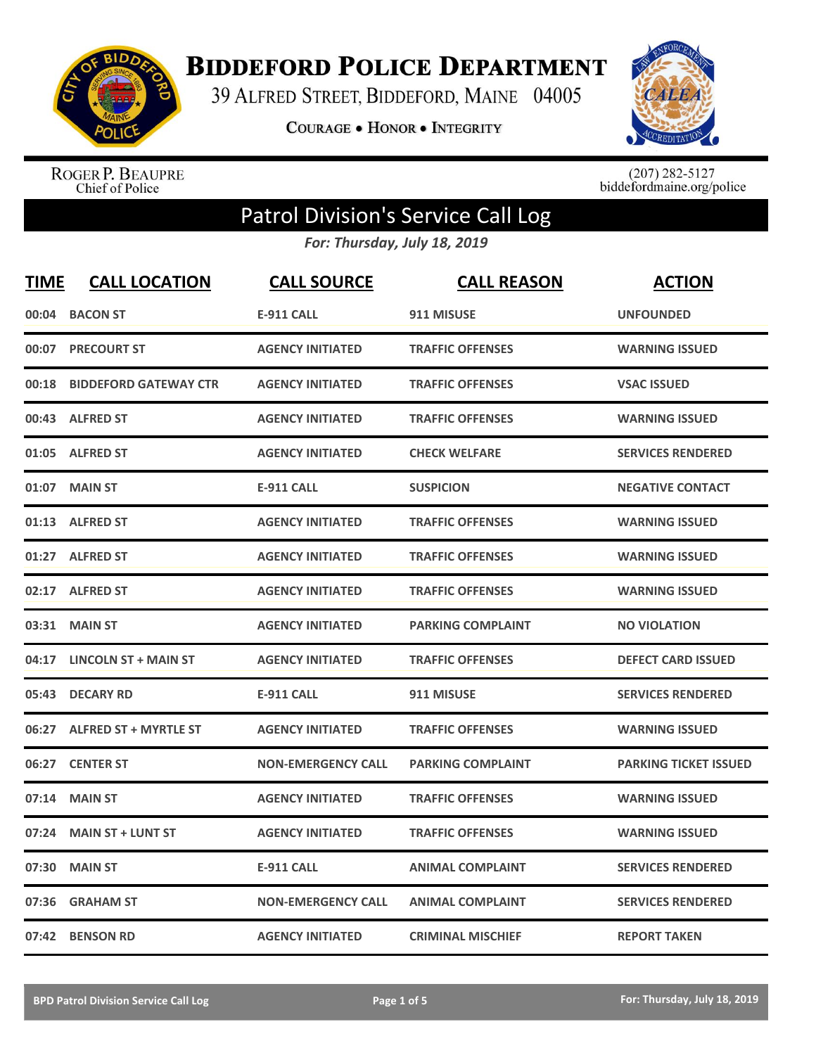

**BIDDEFORD POLICE DEPARTMENT** 

39 ALFRED STREET, BIDDEFORD, MAINE 04005

**COURAGE . HONOR . INTEGRITY** 



ROGER P. BEAUPRE<br>Chief of Police

 $(207)$  282-5127<br>biddefordmaine.org/police

## Patrol Division's Service Call Log

*For: Thursday, July 18, 2019*

| <b>TIME</b> | <b>CALL LOCATION</b>         | <b>CALL SOURCE</b>        | <b>CALL REASON</b>       | <b>ACTION</b>                |
|-------------|------------------------------|---------------------------|--------------------------|------------------------------|
| 00:04       | <b>BACON ST</b>              | <b>E-911 CALL</b>         | 911 MISUSE               | <b>UNFOUNDED</b>             |
| 00:07       | <b>PRECOURT ST</b>           | <b>AGENCY INITIATED</b>   | <b>TRAFFIC OFFENSES</b>  | <b>WARNING ISSUED</b>        |
| 00:18       | <b>BIDDEFORD GATEWAY CTR</b> | <b>AGENCY INITIATED</b>   | <b>TRAFFIC OFFENSES</b>  | <b>VSAC ISSUED</b>           |
|             | 00:43 ALFRED ST              | <b>AGENCY INITIATED</b>   | <b>TRAFFIC OFFENSES</b>  | <b>WARNING ISSUED</b>        |
|             | 01:05 ALFRED ST              | <b>AGENCY INITIATED</b>   | <b>CHECK WELFARE</b>     | <b>SERVICES RENDERED</b>     |
|             | 01:07 MAIN ST                | <b>E-911 CALL</b>         | <b>SUSPICION</b>         | <b>NEGATIVE CONTACT</b>      |
|             | 01:13 ALFRED ST              | <b>AGENCY INITIATED</b>   | <b>TRAFFIC OFFENSES</b>  | <b>WARNING ISSUED</b>        |
|             | 01:27 ALFRED ST              | <b>AGENCY INITIATED</b>   | <b>TRAFFIC OFFENSES</b>  | <b>WARNING ISSUED</b>        |
|             | 02:17 ALFRED ST              | <b>AGENCY INITIATED</b>   | <b>TRAFFIC OFFENSES</b>  | <b>WARNING ISSUED</b>        |
| 03:31       | <b>MAIN ST</b>               | <b>AGENCY INITIATED</b>   | <b>PARKING COMPLAINT</b> | <b>NO VIOLATION</b>          |
|             | 04:17 LINCOLN ST + MAIN ST   | <b>AGENCY INITIATED</b>   | <b>TRAFFIC OFFENSES</b>  | <b>DEFECT CARD ISSUED</b>    |
| 05:43       | <b>DECARY RD</b>             | <b>E-911 CALL</b>         | 911 MISUSE               | <b>SERVICES RENDERED</b>     |
| 06:27       | <b>ALFRED ST + MYRTLE ST</b> | <b>AGENCY INITIATED</b>   | <b>TRAFFIC OFFENSES</b>  | <b>WARNING ISSUED</b>        |
| 06:27       | <b>CENTER ST</b>             | <b>NON-EMERGENCY CALL</b> | <b>PARKING COMPLAINT</b> | <b>PARKING TICKET ISSUED</b> |
| 07:14       | <b>MAIN ST</b>               | <b>AGENCY INITIATED</b>   | <b>TRAFFIC OFFENSES</b>  | <b>WARNING ISSUED</b>        |
| 07:24       | <b>MAIN ST + LUNT ST</b>     | <b>AGENCY INITIATED</b>   | <b>TRAFFIC OFFENSES</b>  | <b>WARNING ISSUED</b>        |
| 07:30       | <b>MAIN ST</b>               | <b>E-911 CALL</b>         | <b>ANIMAL COMPLAINT</b>  | <b>SERVICES RENDERED</b>     |
| 07:36       | <b>GRAHAM ST</b>             | <b>NON-EMERGENCY CALL</b> | <b>ANIMAL COMPLAINT</b>  | <b>SERVICES RENDERED</b>     |
|             | 07:42 BENSON RD              | <b>AGENCY INITIATED</b>   | <b>CRIMINAL MISCHIEF</b> | <b>REPORT TAKEN</b>          |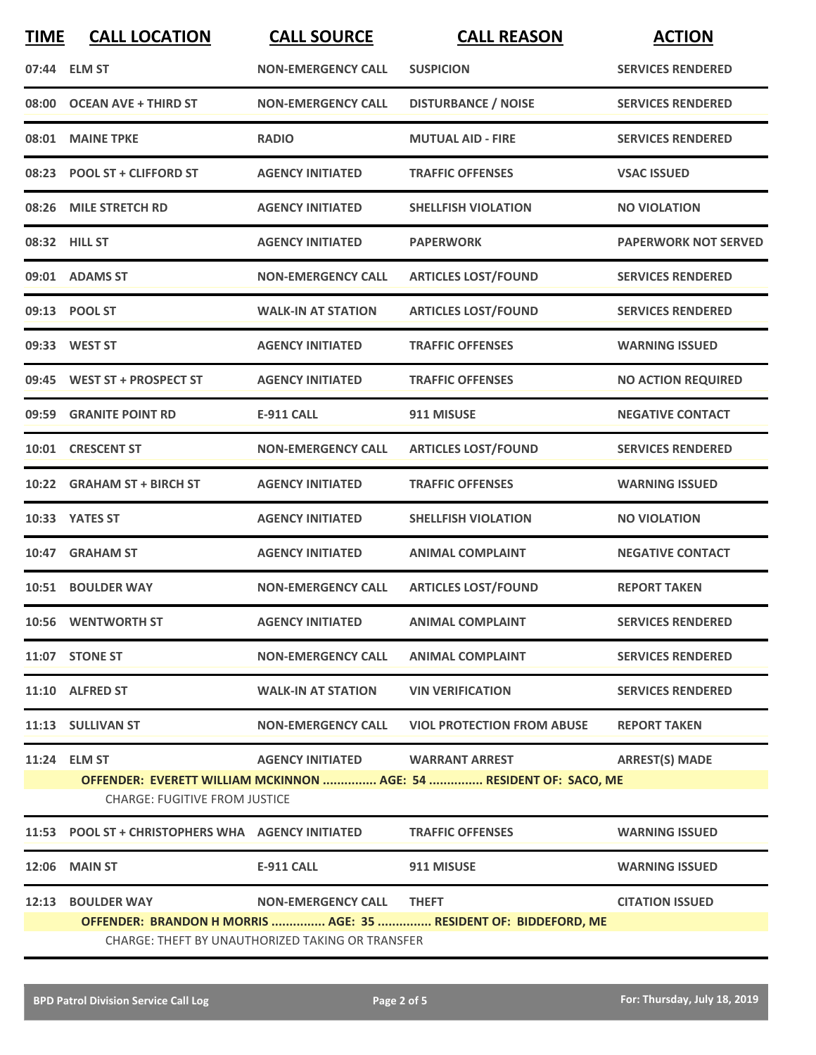| <b>TIME</b> | <b>CALL LOCATION</b>                              | <b>CALL SOURCE</b>              | <b>CALL REASON</b>                                                 | <b>ACTION</b>               |  |  |
|-------------|---------------------------------------------------|---------------------------------|--------------------------------------------------------------------|-----------------------------|--|--|
|             | 07:44 ELM ST                                      | <b>NON-EMERGENCY CALL</b>       | <b>SUSPICION</b>                                                   | <b>SERVICES RENDERED</b>    |  |  |
|             | 08:00 OCEAN AVE + THIRD ST                        | <b>NON-EMERGENCY CALL</b>       | <b>DISTURBANCE / NOISE</b>                                         | <b>SERVICES RENDERED</b>    |  |  |
|             | 08:01 MAINE TPKE                                  | <b>RADIO</b>                    | <b>MUTUAL AID - FIRE</b>                                           | <b>SERVICES RENDERED</b>    |  |  |
|             | 08:23 POOL ST + CLIFFORD ST                       | <b>AGENCY INITIATED</b>         | <b>TRAFFIC OFFENSES</b>                                            | <b>VSAC ISSUED</b>          |  |  |
|             | 08:26 MILE STRETCH RD                             | <b>AGENCY INITIATED</b>         | <b>SHELLFISH VIOLATION</b>                                         | <b>NO VIOLATION</b>         |  |  |
|             | 08:32 HILL ST                                     | <b>AGENCY INITIATED</b>         | <b>PAPERWORK</b>                                                   | <b>PAPERWORK NOT SERVED</b> |  |  |
|             | 09:01 ADAMS ST                                    | <b>NON-EMERGENCY CALL</b>       | <b>ARTICLES LOST/FOUND</b>                                         | <b>SERVICES RENDERED</b>    |  |  |
|             | 09:13 POOL ST                                     | <b>WALK-IN AT STATION</b>       | <b>ARTICLES LOST/FOUND</b>                                         | <b>SERVICES RENDERED</b>    |  |  |
|             | 09:33 WEST ST                                     | <b>AGENCY INITIATED</b>         | <b>TRAFFIC OFFENSES</b>                                            | <b>WARNING ISSUED</b>       |  |  |
|             | 09:45 WEST ST + PROSPECT ST                       | <b>AGENCY INITIATED</b>         | <b>TRAFFIC OFFENSES</b>                                            | <b>NO ACTION REQUIRED</b>   |  |  |
|             | 09:59 GRANITE POINT RD                            | <b>E-911 CALL</b>               | 911 MISUSE                                                         | <b>NEGATIVE CONTACT</b>     |  |  |
|             | 10:01 CRESCENT ST                                 | <b>NON-EMERGENCY CALL</b>       | <b>ARTICLES LOST/FOUND</b>                                         | <b>SERVICES RENDERED</b>    |  |  |
|             | 10:22 GRAHAM ST + BIRCH ST                        | <b>AGENCY INITIATED</b>         | <b>TRAFFIC OFFENSES</b>                                            | <b>WARNING ISSUED</b>       |  |  |
|             | 10:33 YATES ST                                    | <b>AGENCY INITIATED</b>         | <b>SHELLFISH VIOLATION</b>                                         | <b>NO VIOLATION</b>         |  |  |
| 10:47       | <b>GRAHAM ST</b>                                  | <b>AGENCY INITIATED</b>         | <b>ANIMAL COMPLAINT</b>                                            | <b>NEGATIVE CONTACT</b>     |  |  |
|             | 10:51 BOULDER WAY                                 | <b>NON-EMERGENCY CALL</b>       | <b>ARTICLES LOST/FOUND</b>                                         | <b>REPORT TAKEN</b>         |  |  |
|             | 10:56 WENTWORTH ST                                | <b>AGENCY INITIATED</b>         | <b>ANIMAL COMPLAINT</b>                                            | <b>SERVICES RENDERED</b>    |  |  |
|             | 11:07 STONE ST                                    | <b>NON-EMERGENCY CALL</b>       | <b>ANIMAL COMPLAINT</b>                                            | <b>SERVICES RENDERED</b>    |  |  |
|             | 11:10 ALFRED ST                                   | <b>WALK-IN AT STATION</b>       | <b>VIN VERIFICATION</b>                                            | <b>SERVICES RENDERED</b>    |  |  |
|             | 11:13 SULLIVAN ST                                 | <b>NON-EMERGENCY CALL</b>       | <b>VIOL PROTECTION FROM ABUSE</b>                                  | <b>REPORT TAKEN</b>         |  |  |
|             | 11:24 ELM ST                                      | AGENCY INITIATED WARRANT ARREST | OFFENDER: EVERETT WILLIAM MCKINNON  AGE: 54  RESIDENT OF: SACO, ME | <b>ARREST(S) MADE</b>       |  |  |
|             | CHARGE: FUGITIVE FROM JUSTICE                     |                                 |                                                                    |                             |  |  |
|             | 11:53 POOL ST + CHRISTOPHERS WHA AGENCY INITIATED |                                 | <b>TRAFFIC OFFENSES</b>                                            | <b>WARNING ISSUED</b>       |  |  |
|             | 12:06 MAIN ST                                     | E-911 CALL                      | 911 MISUSE                                                         | <b>WARNING ISSUED</b>       |  |  |
|             | <b>12:13 BOULDER WAY</b>                          | NON-EMERGENCY CALL THEFT        |                                                                    | <b>CITATION ISSUED</b>      |  |  |
|             |                                                   |                                 | OFFENDER: BRANDON H MORRIS  AGE: 35  RESIDENT OF: BIDDEFORD, ME    |                             |  |  |
|             | CHARGE: THEFT BY UNAUTHORIZED TAKING OR TRANSFER  |                                 |                                                                    |                             |  |  |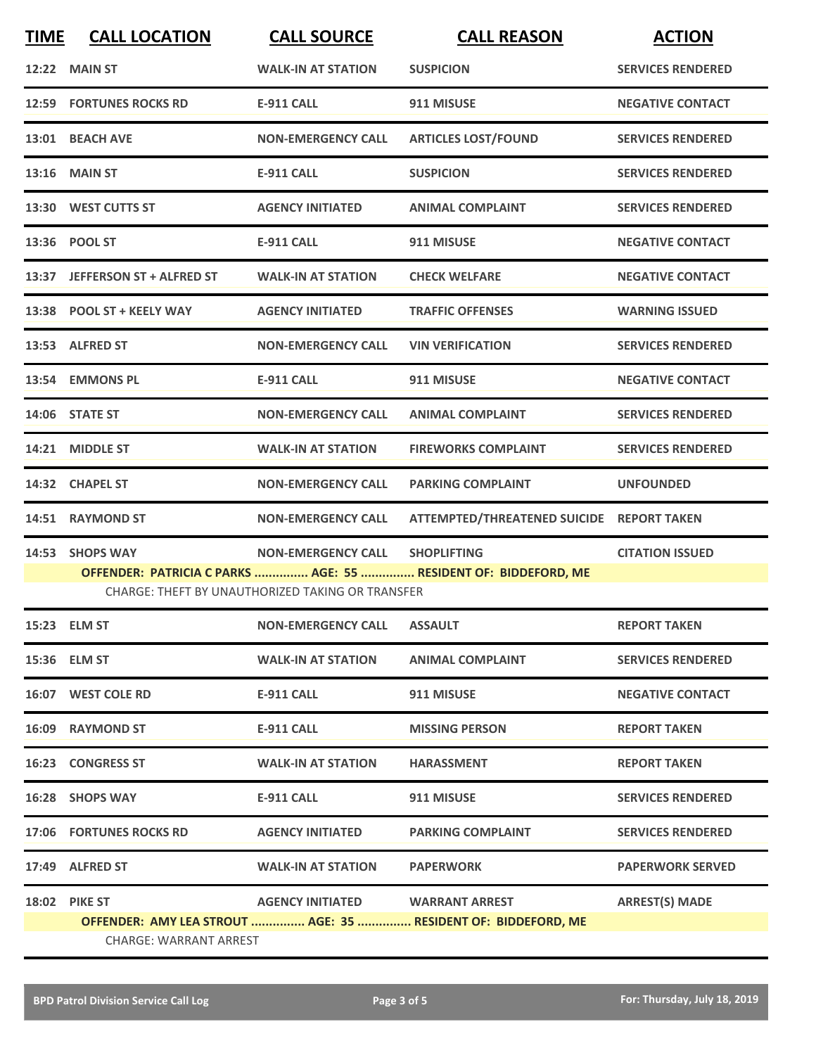| <b>TIME</b> | <b>CALL LOCATION</b>           | <b>CALL SOURCE</b>                                      | <b>CALL REASON</b>                                              | <b>ACTION</b>            |
|-------------|--------------------------------|---------------------------------------------------------|-----------------------------------------------------------------|--------------------------|
|             | <b>12:22 MAIN ST</b>           | <b>WALK-IN AT STATION</b>                               | <b>SUSPICION</b>                                                | <b>SERVICES RENDERED</b> |
|             | <b>12:59 FORTUNES ROCKS RD</b> | <b>E-911 CALL</b>                                       | 911 MISUSE                                                      | <b>NEGATIVE CONTACT</b>  |
|             | 13:01 BEACH AVE                | <b>NON-EMERGENCY CALL</b>                               | <b>ARTICLES LOST/FOUND</b>                                      | <b>SERVICES RENDERED</b> |
|             | <b>13:16 MAIN ST</b>           | <b>E-911 CALL</b>                                       | <b>SUSPICION</b>                                                | <b>SERVICES RENDERED</b> |
|             | 13:30 WEST CUTTS ST            | <b>AGENCY INITIATED</b>                                 | <b>ANIMAL COMPLAINT</b>                                         | <b>SERVICES RENDERED</b> |
|             | 13:36 POOL ST                  | <b>E-911 CALL</b>                                       | 911 MISUSE                                                      | <b>NEGATIVE CONTACT</b>  |
|             | 13:37 JEFFERSON ST + ALFRED ST | <b>WALK-IN AT STATION</b>                               | <b>CHECK WELFARE</b>                                            | <b>NEGATIVE CONTACT</b>  |
|             | 13:38 POOL ST + KEELY WAY      | <b>AGENCY INITIATED</b>                                 | <b>TRAFFIC OFFENSES</b>                                         | <b>WARNING ISSUED</b>    |
|             | 13:53 ALFRED ST                | <b>NON-EMERGENCY CALL</b>                               | <b>VIN VERIFICATION</b>                                         | <b>SERVICES RENDERED</b> |
|             | 13:54 EMMONS PL                | E-911 CALL                                              | 911 MISUSE                                                      | <b>NEGATIVE CONTACT</b>  |
|             | 14:06 STATE ST                 | <b>NON-EMERGENCY CALL</b>                               | <b>ANIMAL COMPLAINT</b>                                         | <b>SERVICES RENDERED</b> |
|             | 14:21 MIDDLE ST                | <b>WALK-IN AT STATION</b>                               | <b>FIREWORKS COMPLAINT</b>                                      | <b>SERVICES RENDERED</b> |
|             | 14:32 CHAPEL ST                | <b>NON-EMERGENCY CALL</b>                               | <b>PARKING COMPLAINT</b>                                        | <b>UNFOUNDED</b>         |
|             | 14:51 RAYMOND ST               | <b>NON-EMERGENCY CALL</b>                               | ATTEMPTED/THREATENED SUICIDE REPORT TAKEN                       |                          |
|             | 14:53 SHOPS WAY                | <b>NON-EMERGENCY CALL</b>                               | <b>SHOPLIFTING</b>                                              | <b>CITATION ISSUED</b>   |
|             |                                | <b>CHARGE: THEFT BY UNAUTHORIZED TAKING OR TRANSFER</b> | OFFENDER: PATRICIA C PARKS  AGE: 55  RESIDENT OF: BIDDEFORD, ME |                          |
|             | 15:23 ELM ST                   | <b>NON-EMERGENCY CALL</b>                               | <b>ASSAULT</b>                                                  | <b>REPORT TAKEN</b>      |
|             | 15:36 ELM ST                   | <b>WALK-IN AT STATION</b>                               | <b>ANIMAL COMPLAINT</b>                                         | <b>SERVICES RENDERED</b> |
|             | 16:07 WEST COLE RD             | <b>E-911 CALL</b>                                       | 911 MISUSE                                                      | <b>NEGATIVE CONTACT</b>  |
|             | 16:09 RAYMOND ST               | <b>E-911 CALL</b>                                       | <b>MISSING PERSON</b>                                           | <b>REPORT TAKEN</b>      |
|             | <b>16:23 CONGRESS ST</b>       | <b>WALK-IN AT STATION</b>                               | <b>HARASSMENT</b>                                               | <b>REPORT TAKEN</b>      |
|             | 16:28 SHOPS WAY                | <b>E-911 CALL</b>                                       | 911 MISUSE                                                      | <b>SERVICES RENDERED</b> |
|             | 17:06 FORTUNES ROCKS RD        | <b>AGENCY INITIATED</b>                                 | <b>PARKING COMPLAINT</b>                                        | <b>SERVICES RENDERED</b> |
|             | 17:49 ALFRED ST                | <b>WALK-IN AT STATION</b>                               | <b>PAPERWORK</b>                                                | <b>PAPERWORK SERVED</b>  |
|             | <b>18:02 PIKE ST</b>           | AGENCY INITIATED WARRANT ARREST                         |                                                                 | <b>ARREST(S) MADE</b>    |
|             |                                |                                                         | OFFENDER: AMY LEA STROUT  AGE: 35  RESIDENT OF: BIDDEFORD, ME   |                          |
|             | <b>CHARGE: WARRANT ARREST</b>  |                                                         |                                                                 |                          |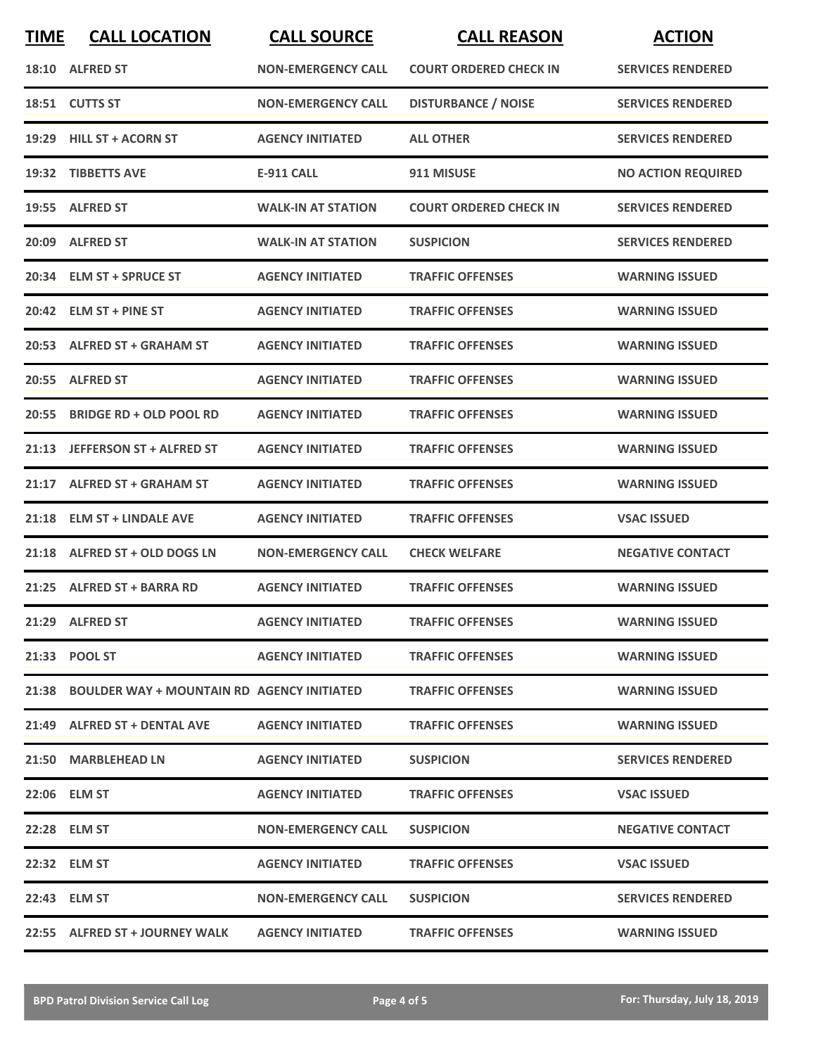| <b>TIME</b> | <b>CALL LOCATION</b>                             | <b>CALL SOURCE</b>        | <b>CALL REASON</b>            | <b>ACTION</b>             |
|-------------|--------------------------------------------------|---------------------------|-------------------------------|---------------------------|
|             | 18:10 ALFRED ST                                  | <b>NON-EMERGENCY CALL</b> | <b>COURT ORDERED CHECK IN</b> | <b>SERVICES RENDERED</b>  |
|             | 18:51 CUTTS ST                                   | <b>NON-EMERGENCY CALL</b> | <b>DISTURBANCE / NOISE</b>    | <b>SERVICES RENDERED</b>  |
|             | 19:29 HILL ST + ACORN ST                         | <b>AGENCY INITIATED</b>   | <b>ALL OTHER</b>              | <b>SERVICES RENDERED</b>  |
|             | 19:32 TIBBETTS AVE                               | <b>E-911 CALL</b>         | 911 MISUSE                    | <b>NO ACTION REQUIRED</b> |
|             | 19:55 ALFRED ST                                  | <b>WALK-IN AT STATION</b> | <b>COURT ORDERED CHECK IN</b> | <b>SERVICES RENDERED</b>  |
|             | 20:09 ALFRED ST                                  | <b>WALK-IN AT STATION</b> | <b>SUSPICION</b>              | <b>SERVICES RENDERED</b>  |
|             | 20:34 ELM ST + SPRUCE ST                         | <b>AGENCY INITIATED</b>   | <b>TRAFFIC OFFENSES</b>       | <b>WARNING ISSUED</b>     |
| 20:42       | <b>ELM ST + PINE ST</b>                          | <b>AGENCY INITIATED</b>   | <b>TRAFFIC OFFENSES</b>       | <b>WARNING ISSUED</b>     |
|             | 20:53 ALFRED ST + GRAHAM ST                      | <b>AGENCY INITIATED</b>   | <b>TRAFFIC OFFENSES</b>       | <b>WARNING ISSUED</b>     |
|             | 20:55 ALFRED ST                                  | <b>AGENCY INITIATED</b>   | <b>TRAFFIC OFFENSES</b>       | <b>WARNING ISSUED</b>     |
| 20:55       | <b>BRIDGE RD + OLD POOL RD</b>                   | <b>AGENCY INITIATED</b>   | <b>TRAFFIC OFFENSES</b>       | <b>WARNING ISSUED</b>     |
|             | 21:13 JEFFERSON ST + ALFRED ST                   | <b>AGENCY INITIATED</b>   | <b>TRAFFIC OFFENSES</b>       | <b>WARNING ISSUED</b>     |
|             | 21:17 ALFRED ST + GRAHAM ST                      | <b>AGENCY INITIATED</b>   | <b>TRAFFIC OFFENSES</b>       | <b>WARNING ISSUED</b>     |
|             | 21:18 ELM ST + LINDALE AVE                       | <b>AGENCY INITIATED</b>   | <b>TRAFFIC OFFENSES</b>       | <b>VSAC ISSUED</b>        |
|             | 21:18 ALFRED ST + OLD DOGS LN                    | <b>NON-EMERGENCY CALL</b> | <b>CHECK WELFARE</b>          | <b>NEGATIVE CONTACT</b>   |
|             | 21:25 ALFRED ST + BARRA RD                       | <b>AGENCY INITIATED</b>   | <b>TRAFFIC OFFENSES</b>       | <b>WARNING ISSUED</b>     |
|             | 21:29 ALFRED ST                                  | <b>AGENCY INITIATED</b>   | <b>TRAFFIC OFFENSES</b>       | <b>WARNING ISSUED</b>     |
|             | 21:33 POOL ST                                    | <b>AGENCY INITIATED</b>   | <b>TRAFFIC OFFENSES</b>       | <b>WARNING ISSUED</b>     |
|             | 21:38 BOULDER WAY + MOUNTAIN RD AGENCY INITIATED |                           | <b>TRAFFIC OFFENSES</b>       | <b>WARNING ISSUED</b>     |
|             | 21:49 ALFRED ST + DENTAL AVE                     | <b>AGENCY INITIATED</b>   | <b>TRAFFIC OFFENSES</b>       | <b>WARNING ISSUED</b>     |
|             | 21:50 MARBLEHEAD LN                              | <b>AGENCY INITIATED</b>   | <b>SUSPICION</b>              | <b>SERVICES RENDERED</b>  |
|             | 22:06 ELM ST                                     | <b>AGENCY INITIATED</b>   | <b>TRAFFIC OFFENSES</b>       | <b>VSAC ISSUED</b>        |
|             | 22:28 ELM ST                                     | <b>NON-EMERGENCY CALL</b> | <b>SUSPICION</b>              | <b>NEGATIVE CONTACT</b>   |
|             | 22:32 ELM ST                                     | <b>AGENCY INITIATED</b>   | <b>TRAFFIC OFFENSES</b>       | <b>VSAC ISSUED</b>        |
|             | 22:43 ELM ST                                     | <b>NON-EMERGENCY CALL</b> | <b>SUSPICION</b>              | <b>SERVICES RENDERED</b>  |
|             | 22:55 ALFRED ST + JOURNEY WALK                   | <b>AGENCY INITIATED</b>   | <b>TRAFFIC OFFENSES</b>       | <b>WARNING ISSUED</b>     |